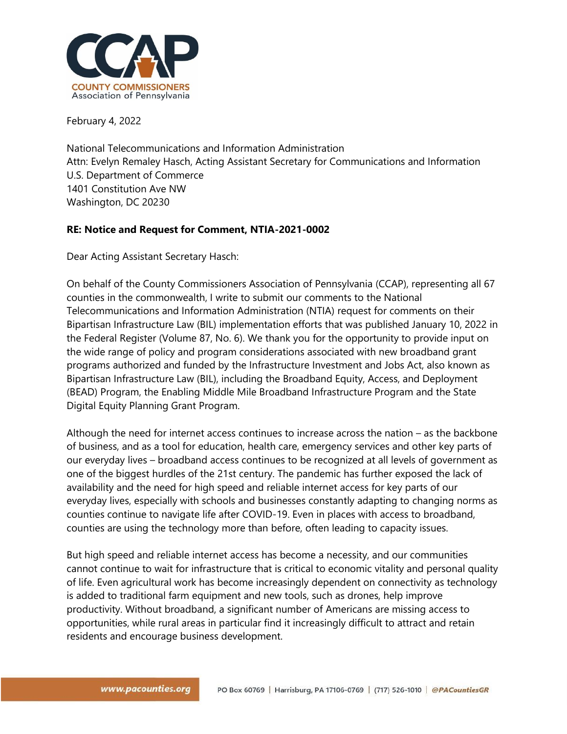

February 4, 2022

National Telecommunications and Information Administration Attn: Evelyn Remaley Hasch, Acting Assistant Secretary for Communications and Information U.S. Department of Commerce 1401 Constitution Ave NW Washington, DC 20230

# **RE: Notice and Request for Comment, NTIA-2021-0002**

Dear Acting Assistant Secretary Hasch:

On behalf of the County Commissioners Association of Pennsylvania (CCAP), representing all 67 counties in the commonwealth, I write to submit our comments to the National Telecommunications and Information Administration (NTIA) request for comments on their Bipartisan Infrastructure Law (BIL) implementation efforts that was published January 10, 2022 in the Federal Register (Volume 87, No. 6). We thank you for the opportunity to provide input on the wide range of policy and program considerations associated with new broadband grant programs authorized and funded by the Infrastructure Investment and Jobs Act, also known as Bipartisan Infrastructure Law (BIL), including the Broadband Equity, Access, and Deployment (BEAD) Program, the Enabling Middle Mile Broadband Infrastructure Program and the State Digital Equity Planning Grant Program.

Although the need for internet access continues to increase across the nation – as the backbone of business, and as a tool for education, health care, emergency services and other key parts of our everyday lives – broadband access continues to be recognized at all levels of government as one of the biggest hurdles of the 21st century. The pandemic has further exposed the lack of availability and the need for high speed and reliable internet access for key parts of our everyday lives, especially with schools and businesses constantly adapting to changing norms as counties continue to navigate life after COVID-19. Even in places with access to broadband, counties are using the technology more than before, often leading to capacity issues.

But high speed and reliable internet access has become a necessity, and our communities cannot continue to wait for infrastructure that is critical to economic vitality and personal quality of life. Even agricultural work has become increasingly dependent on connectivity as technology is added to traditional farm equipment and new tools, such as drones, help improve productivity. Without broadband, a significant number of Americans are missing access to opportunities, while rural areas in particular find it increasingly difficult to attract and retain residents and encourage business development.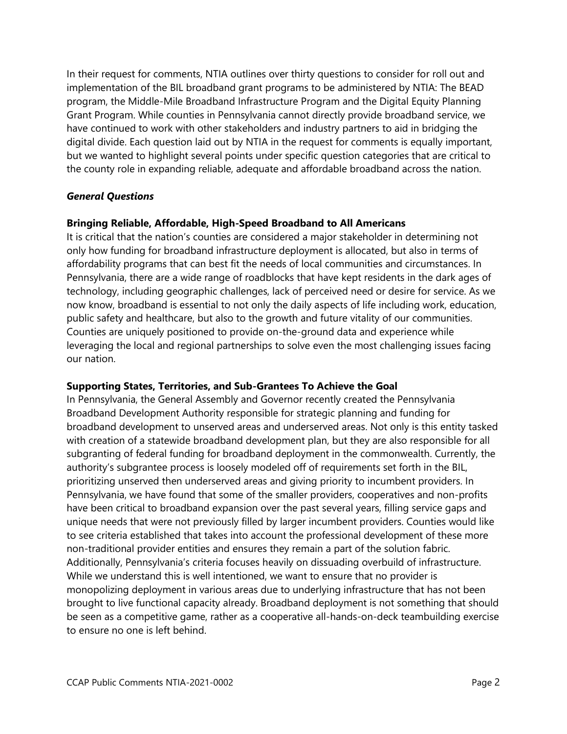In their request for comments, NTIA outlines over thirty questions to consider for roll out and implementation of the BIL broadband grant programs to be administered by NTIA: The BEAD program, the Middle-Mile Broadband Infrastructure Program and the Digital Equity Planning Grant Program. While counties in Pennsylvania cannot directly provide broadband service, we have continued to work with other stakeholders and industry partners to aid in bridging the digital divide. Each question laid out by NTIA in the request for comments is equally important, but we wanted to highlight several points under specific question categories that are critical to the county role in expanding reliable, adequate and affordable broadband across the nation.

### *General Questions*

## **Bringing Reliable, Affordable, High-Speed Broadband to All Americans**

It is critical that the nation's counties are considered a major stakeholder in determining not only how funding for broadband infrastructure deployment is allocated, but also in terms of affordability programs that can best fit the needs of local communities and circumstances. In Pennsylvania, there are a wide range of roadblocks that have kept residents in the dark ages of technology, including geographic challenges, lack of perceived need or desire for service. As we now know, broadband is essential to not only the daily aspects of life including work, education, public safety and healthcare, but also to the growth and future vitality of our communities. Counties are uniquely positioned to provide on-the-ground data and experience while leveraging the local and regional partnerships to solve even the most challenging issues facing our nation.

### **Supporting States, Territories, and Sub-Grantees To Achieve the Goal**

In Pennsylvania, the General Assembly and Governor recently created the Pennsylvania Broadband Development Authority responsible for strategic planning and funding for broadband development to unserved areas and underserved areas. Not only is this entity tasked with creation of a statewide broadband development plan, but they are also responsible for all subgranting of federal funding for broadband deployment in the commonwealth. Currently, the authority's subgrantee process is loosely modeled off of requirements set forth in the BIL, prioritizing unserved then underserved areas and giving priority to incumbent providers. In Pennsylvania, we have found that some of the smaller providers, cooperatives and non-profits have been critical to broadband expansion over the past several years, filling service gaps and unique needs that were not previously filled by larger incumbent providers. Counties would like to see criteria established that takes into account the professional development of these more non-traditional provider entities and ensures they remain a part of the solution fabric. Additionally, Pennsylvania's criteria focuses heavily on dissuading overbuild of infrastructure. While we understand this is well intentioned, we want to ensure that no provider is monopolizing deployment in various areas due to underlying infrastructure that has not been brought to live functional capacity already. Broadband deployment is not something that should be seen as a competitive game, rather as a cooperative all-hands-on-deck teambuilding exercise to ensure no one is left behind.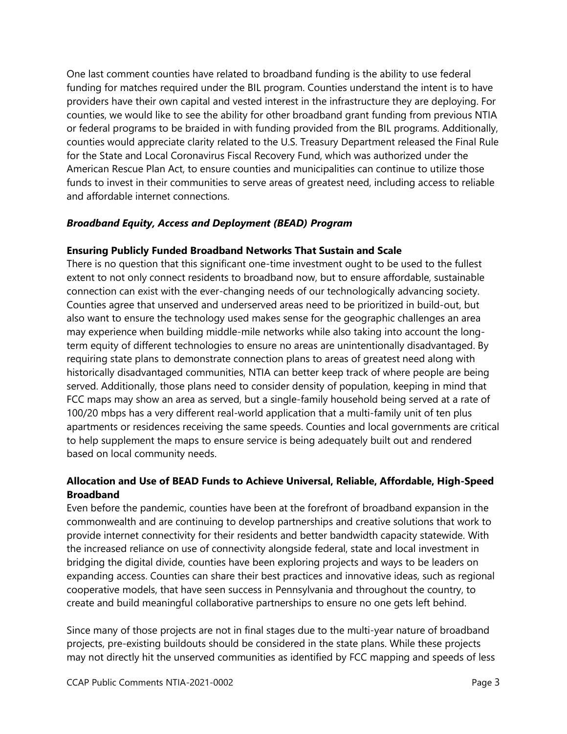One last comment counties have related to broadband funding is the ability to use federal funding for matches required under the BIL program. Counties understand the intent is to have providers have their own capital and vested interest in the infrastructure they are deploying. For counties, we would like to see the ability for other broadband grant funding from previous NTIA or federal programs to be braided in with funding provided from the BIL programs. Additionally, counties would appreciate clarity related to the U.S. Treasury Department released the Final Rule for the State and Local Coronavirus Fiscal Recovery Fund, which was authorized under the American Rescue Plan Act, to ensure counties and municipalities can continue to utilize those funds to invest in their communities to serve areas of greatest need, including access to reliable and affordable internet connections.

## *Broadband Equity, Access and Deployment (BEAD) Program*

## **Ensuring Publicly Funded Broadband Networks That Sustain and Scale**

There is no question that this significant one-time investment ought to be used to the fullest extent to not only connect residents to broadband now, but to ensure affordable, sustainable connection can exist with the ever-changing needs of our technologically advancing society. Counties agree that unserved and underserved areas need to be prioritized in build-out, but also want to ensure the technology used makes sense for the geographic challenges an area may experience when building middle-mile networks while also taking into account the longterm equity of different technologies to ensure no areas are unintentionally disadvantaged. By requiring state plans to demonstrate connection plans to areas of greatest need along with historically disadvantaged communities, NTIA can better keep track of where people are being served. Additionally, those plans need to consider density of population, keeping in mind that FCC maps may show an area as served, but a single-family household being served at a rate of 100/20 mbps has a very different real-world application that a multi-family unit of ten plus apartments or residences receiving the same speeds. Counties and local governments are critical to help supplement the maps to ensure service is being adequately built out and rendered based on local community needs.

# **Allocation and Use of BEAD Funds to Achieve Universal, Reliable, Affordable, High-Speed Broadband**

Even before the pandemic, counties have been at the forefront of broadband expansion in the commonwealth and are continuing to develop partnerships and creative solutions that work to provide internet connectivity for their residents and better bandwidth capacity statewide. With the increased reliance on use of connectivity alongside federal, state and local investment in bridging the digital divide, counties have been exploring projects and ways to be leaders on expanding access. Counties can share their best practices and innovative ideas, such as regional cooperative models, that have seen success in Pennsylvania and throughout the country, to create and build meaningful collaborative partnerships to ensure no one gets left behind.

Since many of those projects are not in final stages due to the multi-year nature of broadband projects, pre-existing buildouts should be considered in the state plans. While these projects may not directly hit the unserved communities as identified by FCC mapping and speeds of less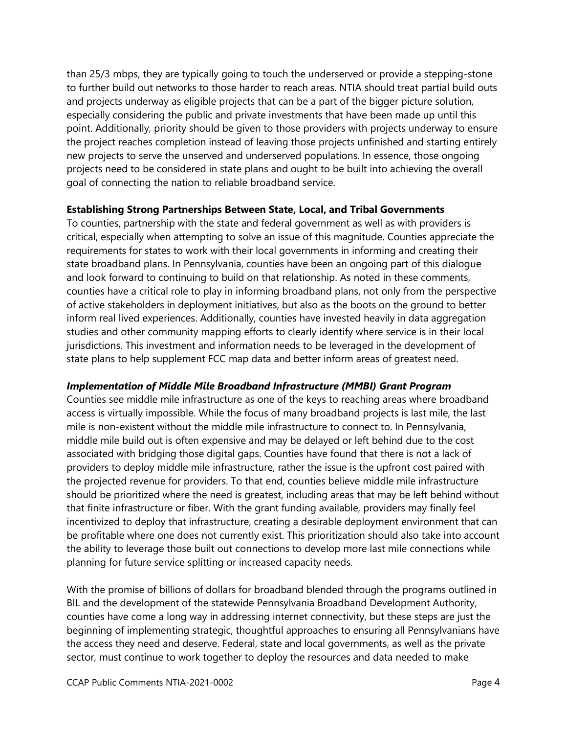than 25/3 mbps, they are typically going to touch the underserved or provide a stepping-stone to further build out networks to those harder to reach areas. NTIA should treat partial build outs and projects underway as eligible projects that can be a part of the bigger picture solution, especially considering the public and private investments that have been made up until this point. Additionally, priority should be given to those providers with projects underway to ensure the project reaches completion instead of leaving those projects unfinished and starting entirely new projects to serve the unserved and underserved populations. In essence, those ongoing projects need to be considered in state plans and ought to be built into achieving the overall goal of connecting the nation to reliable broadband service.

#### **Establishing Strong Partnerships Between State, Local, and Tribal Governments**

To counties, partnership with the state and federal government as well as with providers is critical, especially when attempting to solve an issue of this magnitude. Counties appreciate the requirements for states to work with their local governments in informing and creating their state broadband plans. In Pennsylvania, counties have been an ongoing part of this dialogue and look forward to continuing to build on that relationship. As noted in these comments, counties have a critical role to play in informing broadband plans, not only from the perspective of active stakeholders in deployment initiatives, but also as the boots on the ground to better inform real lived experiences. Additionally, counties have invested heavily in data aggregation studies and other community mapping efforts to clearly identify where service is in their local jurisdictions. This investment and information needs to be leveraged in the development of state plans to help supplement FCC map data and better inform areas of greatest need.

### *Implementation of Middle Mile Broadband Infrastructure (MMBI) Grant Program*

Counties see middle mile infrastructure as one of the keys to reaching areas where broadband access is virtually impossible. While the focus of many broadband projects is last mile, the last mile is non-existent without the middle mile infrastructure to connect to. In Pennsylvania, middle mile build out is often expensive and may be delayed or left behind due to the cost associated with bridging those digital gaps. Counties have found that there is not a lack of providers to deploy middle mile infrastructure, rather the issue is the upfront cost paired with the projected revenue for providers. To that end, counties believe middle mile infrastructure should be prioritized where the need is greatest, including areas that may be left behind without that finite infrastructure or fiber. With the grant funding available, providers may finally feel incentivized to deploy that infrastructure, creating a desirable deployment environment that can be profitable where one does not currently exist. This prioritization should also take into account the ability to leverage those built out connections to develop more last mile connections while planning for future service splitting or increased capacity needs.

With the promise of billions of dollars for broadband blended through the programs outlined in BIL and the development of the statewide Pennsylvania Broadband Development Authority, counties have come a long way in addressing internet connectivity, but these steps are just the beginning of implementing strategic, thoughtful approaches to ensuring all Pennsylvanians have the access they need and deserve. Federal, state and local governments, as well as the private sector, must continue to work together to deploy the resources and data needed to make